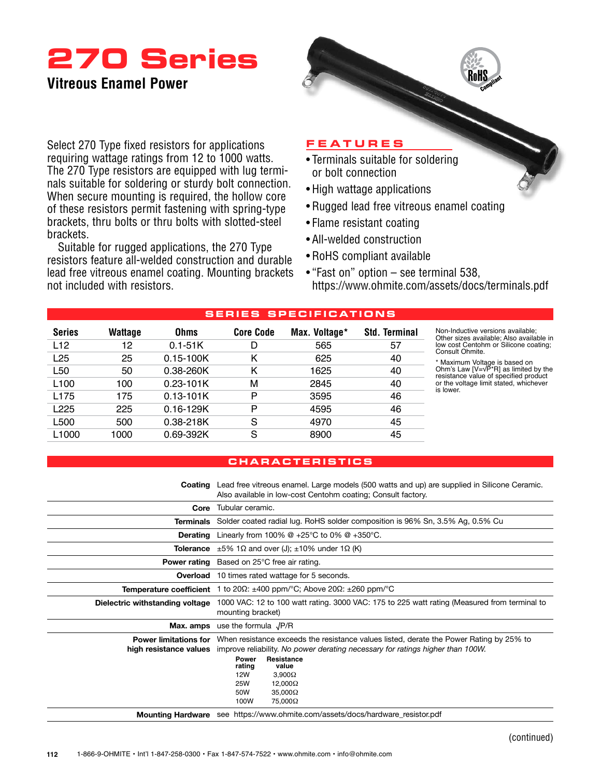## **270 Series**

## **Vitreous Enamel Power**

Select 270 Type fixed resistors for applications requiring wattage ratings from 12 to 1000 watts. The 270 Type resistors are equipped with lug terminals suitable for soldering or sturdy bolt connection. When secure mounting is required, the hollow core of these resistors permit fastening with spring-type brackets, thru bolts or thru bolts with slotted-steel brackets.

Suitable for rugged applications, the 270 Type resistors feature all-welded construction and durable lead free vitreous enamel coating. Mounting brackets not included with resistors.

### **Feature s**

- Terminals suitable for soldering or bolt connection
- High wattage applications
- Rugged lead free vitreous enamel coating
- Flame resistant coating
- • All-welded construction
- RoHS compliant available
- "Fast on" option see terminal 538, https://www.ohmite.com/assets/docs/terminals.pdf

### **S ER I E S SP E CIFIC AT IONS**

| L12<br>$0.1 - 51K$<br>565<br>12<br>57<br>D                  | Other sizes               |
|-------------------------------------------------------------|---------------------------|
|                                                             | low cost Ce<br>Consult Oh |
| L25<br>$0.15 - 100K$<br>25<br>Κ<br>625<br>40                | * Maximum                 |
| 0.38-260K<br>L <sub>50</sub><br>Κ<br>40<br>50<br>1625       | Ohm's Law<br>resistance y |
| L <sub>100</sub><br>$0.23 - 101K$<br>М<br>2845<br>40<br>100 | or the volta<br>is lower. |
| $0.13 - 101K$<br>P<br>46<br>L <sub>175</sub><br>175<br>3595 |                           |
| L <sub>225</sub><br>$0.16 - 129K$<br>P<br>46<br>225<br>4595 |                           |
| 0.38-218K<br>L500<br>S<br>45<br>4970<br>500                 |                           |
| S<br>0.69-392K<br>45<br>L <sub>1000</sub><br>8900<br>1000   |                           |

ve versions available; Other sizes available; Also available in low cost Centohm or Silicone coating; mite.

\* Maximum Voltage is based on Ohm's Law [V=√P\*R] as limited by the resistance value of specified product or the voltage limit stated, whichever

### **c hara c ter is t ics**

**Coating** Lead free vitreous enamel. Large models (500 watts and up) are supplied in Silicone Ceramic. Also available in low-cost Centohm coating; Consult factory.

| Core                            | Tubular ceramic.                                                                                                                                                                                                              |  |  |  |  |  |  |
|---------------------------------|-------------------------------------------------------------------------------------------------------------------------------------------------------------------------------------------------------------------------------|--|--|--|--|--|--|
| Terminals                       | Solder coated radial lug. RoHS solder composition is 96% Sn, 3.5% Ag, 0.5% Cu                                                                                                                                                 |  |  |  |  |  |  |
| <b>Derating</b>                 | Linearly from 100% $@+25^{\circ}C$ to 0% $@+350^{\circ}C$ .                                                                                                                                                                   |  |  |  |  |  |  |
| Tolerance                       | $\pm 5\%$ 1 $\Omega$ and over (J); $\pm 10\%$ under 1 $\Omega$ (K)                                                                                                                                                            |  |  |  |  |  |  |
|                                 | <b>Power rating</b> Based on 25°C free air rating.                                                                                                                                                                            |  |  |  |  |  |  |
| Overload                        | 10 times rated wattage for 5 seconds.                                                                                                                                                                                         |  |  |  |  |  |  |
|                                 | <b>Temperature coefficient</b> 1 to 20 $\Omega$ : $\pm$ 400 ppm/°C; Above 20 $\Omega$ : $\pm$ 260 ppm/°C                                                                                                                      |  |  |  |  |  |  |
| Dielectric withstanding voltage | 1000 VAC: 12 to 100 watt rating. 3000 VAC: 175 to 225 watt rating (Measured from terminal to<br>mounting bracket)                                                                                                             |  |  |  |  |  |  |
| Max. amps                       | use the formula $\sqrt{P/R}$                                                                                                                                                                                                  |  |  |  |  |  |  |
|                                 | <b>Power limitations for</b> When resistance exceeds the resistance values listed, derate the Power Rating by 25% to<br>high resistance values improve reliability. No power derating necessary for ratings higher than 100W. |  |  |  |  |  |  |
|                                 | Resistance<br>Power<br>rating<br>value<br>12W<br>$3,900\Omega$<br><b>25W</b><br>$12,000\Omega$<br>50W<br>$35,000\Omega$<br>75,000Ω<br>100W                                                                                    |  |  |  |  |  |  |
|                                 | <b>Mounting Hardware</b> see https://www.ohmite.com/assets/docs/hardware_resistor.pdf                                                                                                                                         |  |  |  |  |  |  |